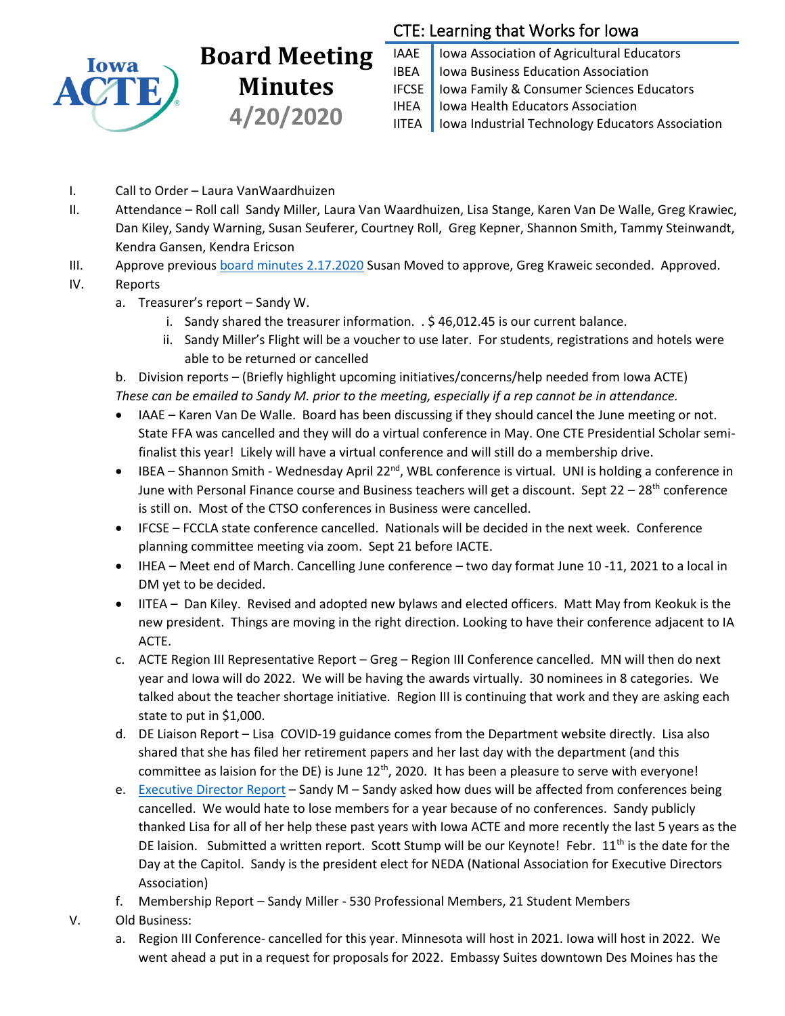

## **Board Meeting Minutes 4/20/2020**

## CTE: Learning that Works for Iowa

IAAE | Iowa Association of Agricultural Educators IBEA | Iowa Business Education Association IFCSE Iowa Family & Consumer Sciences Educators IHEA | Iowa Health Educators Association IITEA | Iowa Industrial Technology Educators Association

- I. Call to Order Laura VanWaardhuizen
- II. Attendance Roll call Sandy Miller, Laura Van Waardhuizen, Lisa Stange, Karen Van De Walle, Greg Krawiec, Dan Kiley, Sandy Warning, Susan Seuferer, Courtney Roll, Greg Kepner, Shannon Smith, Tammy Steinwandt, Kendra Gansen, Kendra Ericson
- III. Approve previou[s board minutes 2.17.2020](https://drive.google.com/file/d/1gXhfNXjOcPfcQy1MQukmWXieAmp48WJP/view?usp=sharing) Susan Moved to approve, Greg Kraweic seconded. Approved.
- IV. Reports
	- a. Treasurer's report Sandy W.
		- i. Sandy shared the treasurer information. . \$ 46,012.45 is our current balance.
		- ii. Sandy Miller's Flight will be a voucher to use later. For students, registrations and hotels were able to be returned or cancelled

b. Division reports – (Briefly highlight upcoming initiatives/concerns/help needed from Iowa ACTE) *These can be emailed to Sandy M. prior to the meeting, especially if a rep cannot be in attendance.*

- IAAE Karen Van De Walle. Board has been discussing if they should cancel the June meeting or not. State FFA was cancelled and they will do a virtual conference in May. One CTE Presidential Scholar semifinalist this year! Likely will have a virtual conference and will still do a membership drive.
- IBEA Shannon Smith Wednesday April 22<sup>nd</sup>, WBL conference is virtual. UNI is holding a conference in June with Personal Finance course and Business teachers will get a discount. Sept  $22 - 28$ <sup>th</sup> conference is still on. Most of the CTSO conferences in Business were cancelled.
- IFCSE FCCLA state conference cancelled. Nationals will be decided in the next week. Conference planning committee meeting via zoom. Sept 21 before IACTE.
- IHEA Meet end of March. Cancelling June conference two day format June 10 -11, 2021 to a local in DM yet to be decided.
- IITEA Dan Kiley. Revised and adopted new bylaws and elected officers. Matt May from Keokuk is the new president. Things are moving in the right direction. Looking to have their conference adjacent to IA ACTE.
- c. ACTE Region III Representative Report Greg Region III Conference cancelled. MN will then do next year and Iowa will do 2022. We will be having the awards virtually. 30 nominees in 8 categories. We talked about the teacher shortage initiative. Region III is continuing that work and they are asking each state to put in \$1,000.
- d. DE Liaison Report Lisa COVID-19 guidance comes from the Department website directly. Lisa also shared that she has filed her retirement papers and her last day with the department (and this committee as laision for the DE) is June  $12<sup>th</sup>$ , 2020. It has been a pleasure to serve with everyone!
- e. [Executive Director Report](https://docs.google.com/document/d/1KBZWHp2VnsNJdqi1itdsaF2Uv89zSNbW4pULAzG1mWI/edit?usp=sharing) Sandy M Sandy asked how dues will be affected from conferences being cancelled. We would hate to lose members for a year because of no conferences. Sandy publicly thanked Lisa for all of her help these past years with Iowa ACTE and more recently the last 5 years as the DE laision. Submitted a written report. Scott Stump will be our Keynote! Febr. 11<sup>th</sup> is the date for the Day at the Capitol. Sandy is the president elect for NEDA (National Association for Executive Directors Association)
- f. Membership Report Sandy Miller 530 Professional Members, 21 Student Members
- V. Old Business:
	- a. Region III Conference- cancelled for this year. Minnesota will host in 2021. Iowa will host in 2022. We went ahead a put in a request for proposals for 2022. Embassy Suites downtown Des Moines has the